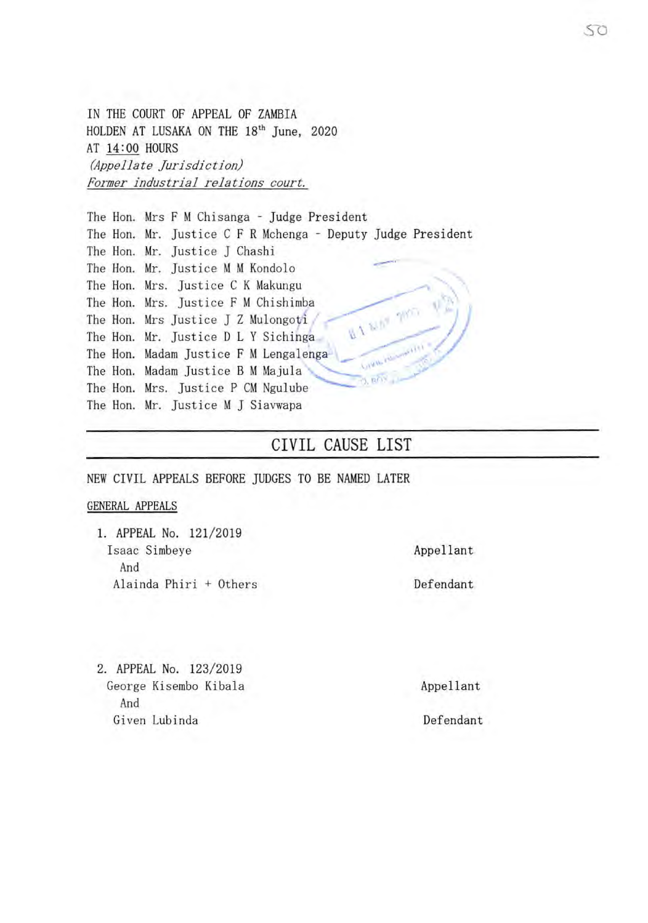IN THE COURT OF APPEAL OF ZAMBIA HOLDEN AT LUSAKA ON THE 18<sup>th</sup> June, 2020 AT 14:00 HOURS *(Appellate Jurisdiction) Former industrial relations court.* 

The Hon. Mrs F M Chisanga - Judge President The Hon. Mr. Justice C F R Mchenga - Deputy Judge President The Hon. Mr. Justice J Chashi The Hon. Mr. Justice M M Kondolo The Hon. Mrs. Justice C K Makungu The Hon. Mrs. Justice F M Chishimba **BANN** The Hon. Mrs Justice J Z Mulongoti The Hon. Mr. Justice D L *Y* Sichinga The Hon. Madam Justice F M Lengalenga The Hon. Madam Justice B M Majula \ The Hon. Mrs. Justice P CM Ngu1ube The Hon. Mr. Justice M J Siavwapa

## CIVIL CAUSE LIST

NEW CIVIL APPEALS BEFORE JUDGES TO BE NAMED LATER

## GENERAL APPEALS

1. APPEAL No. 121/2019 Isaac Simbeye And Alainda Phiri + Others

Appellant

Defendant

2. APPEAL No. 123/2019 George Kisembo Kibala **Appellant** And Given Lubinda **Defendant**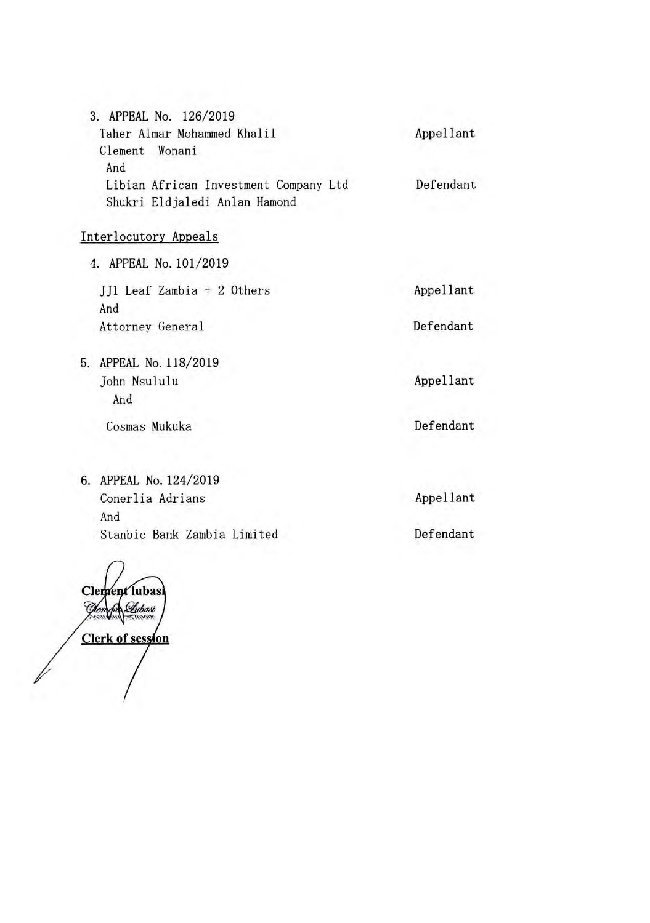| 3. APPEAL No. 126/2019                |           |
|---------------------------------------|-----------|
| Taher Almar Mohammed Khalil           | Appellant |
| Clement Wonani                        |           |
| And                                   |           |
| Libian African Investment Company Ltd | Defendant |
| Shukri Eldjaledi Anlan Hamond         |           |

## Interlocutory Appeals

4. APPEAL No. 101/2019 JJ1 Leaf Zambia + 2 Others And Attorney General

Appellant

Defendant

Appellant

Defendant

5. APPEAL No. 118/2019 John Nsululu And

Cosmas Mukuka

6. APPEAL No. 124/2019 Conerlia Adrians And Stanbic Bank Zambia Limited

Clement lubas Ŵ Lubasi **Clerk of session** 

Appellant

Defendant